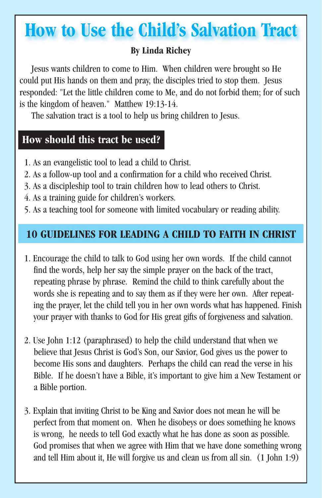## **How to Use the Child's Salvation Tract**

## **By Linda Richey**

Jesus wants children to come to Him. When children were brought so He could put His hands on them and pray, the disciples tried to stop them. Jesus responded: "Let the little children come to Me, and do not forbid them; for of such is the kingdom of heaven." Matthew 19:13-14.

The salvation tract is a tool to help us bring children to Jesus.

## **How should this tract be used?**

- 1. As an evangelistic tool to lead a child to Christ.
- 2. As a follow-up tool and a confirmation for a child who received Christ.
- 3. As a discipleship tool to train children how to lead others to Christ.
- 4. As a training guide for children's workers.
- 5. As a teaching tool for someone with limited vocabulary or reading ability.

## **10 GUIDELINES FOR LEADING A CHILD TO FAITH IN CHRIST**

- 1. Encourage the child to talk to God using her own words. If the child cannot find the words, help her say the simple prayer on the back of the tract, repeating phrase by phrase. Remind the child to think carefully about the words she is repeating and to say them as if they were her own. After repeating the prayer, let the child tell you in her own words what has happened. Finish your prayer with thanks to God for His great gifts of forgiveness and salvation.
- 2. Use John 1:12 (paraphrased) to help the child understand that when we believe that Jesus Christ is God's Son, our Savior, God gives us the power to become His sons and daughters. Perhaps the child can read the verse in his Bible. If he doesn't have a Bible, it's important to give him a New Testament or a Bible portion.
- 3. Explain that inviting Christ to be King and Savior does not mean he will be perfect from that moment on. When he disobeys or does something he knows is wrong, he needs to tell God exactly what he has done as soon as possible. God promises that when we agree with Him that we have done something wrong and tell Him about it, He will forgive us and clean us from all sin. (1 John 1:9)